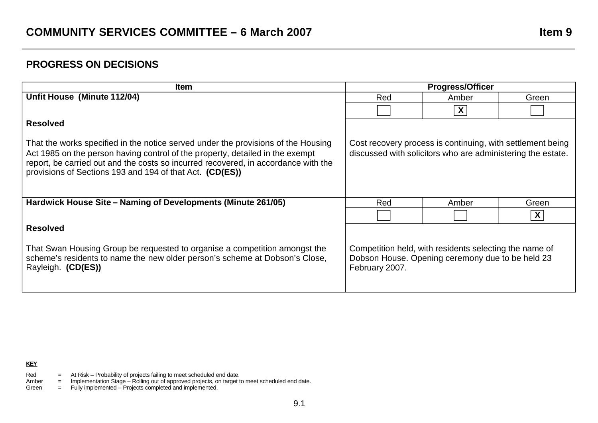## **PROGRESS ON DECISIONS**

| <b>Item</b>                                                                                                                                                                                                                                                                                                          | <b>Progress/Officer</b>                                                                                                      |       |       |
|----------------------------------------------------------------------------------------------------------------------------------------------------------------------------------------------------------------------------------------------------------------------------------------------------------------------|------------------------------------------------------------------------------------------------------------------------------|-------|-------|
| Unfit House (Minute 112/04)                                                                                                                                                                                                                                                                                          | Red                                                                                                                          | Amber | Green |
|                                                                                                                                                                                                                                                                                                                      |                                                                                                                              | X     |       |
| <b>Resolved</b>                                                                                                                                                                                                                                                                                                      |                                                                                                                              |       |       |
| That the works specified in the notice served under the provisions of the Housing<br>Act 1985 on the person having control of the property, detailed in the exempt<br>report, be carried out and the costs so incurred recovered, in accordance with the<br>provisions of Sections 193 and 194 of that Act. (CD(ES)) | Cost recovery process is continuing, with settlement being<br>discussed with solicitors who are administering the estate.    |       |       |
| Hardwick House Site – Naming of Developments (Minute 261/05)                                                                                                                                                                                                                                                         | Red                                                                                                                          | Amber | Green |
|                                                                                                                                                                                                                                                                                                                      |                                                                                                                              |       | X     |
| <b>Resolved</b>                                                                                                                                                                                                                                                                                                      |                                                                                                                              |       |       |
| That Swan Housing Group be requested to organise a competition amongst the<br>scheme's residents to name the new older person's scheme at Dobson's Close,<br>Rayleigh. (CD(ES))                                                                                                                                      | Competition held, with residents selecting the name of<br>Dobson House. Opening ceremony due to be held 23<br>February 2007. |       |       |

**KEY** 

- Red  $=$  At Risk Probability of projects failing to meet scheduled end date.
- Amber = Implementation Stage Rolling out of approved projects, on target to meet scheduled end date.
- Green = Fully implemented Projects completed and implemented.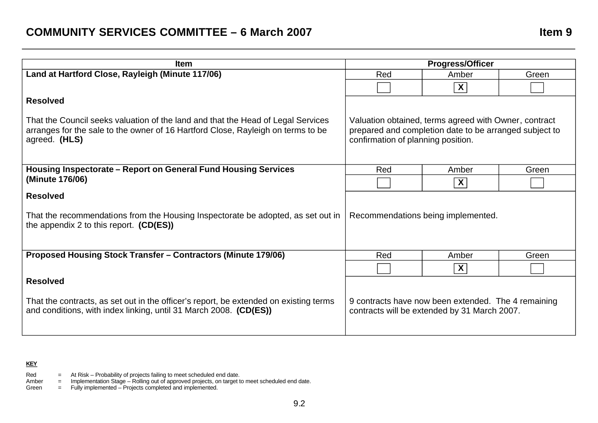| <b>Item</b>                                                                                                                                                                           | <b>Progress/Officer</b>                                                                                                                               |                           |       |
|---------------------------------------------------------------------------------------------------------------------------------------------------------------------------------------|-------------------------------------------------------------------------------------------------------------------------------------------------------|---------------------------|-------|
| Land at Hartford Close, Rayleigh (Minute 117/06)                                                                                                                                      | Red                                                                                                                                                   | Amber                     | Green |
|                                                                                                                                                                                       |                                                                                                                                                       | $\overline{\mathbf{X}}$   |       |
| <b>Resolved</b>                                                                                                                                                                       |                                                                                                                                                       |                           |       |
| That the Council seeks valuation of the land and that the Head of Legal Services<br>arranges for the sale to the owner of 16 Hartford Close, Rayleigh on terms to be<br>agreed. (HLS) | Valuation obtained, terms agreed with Owner, contract<br>prepared and completion date to be arranged subject to<br>confirmation of planning position. |                           |       |
| Housing Inspectorate – Report on General Fund Housing Services                                                                                                                        | Red                                                                                                                                                   | Amber                     | Green |
| (Minute 176/06)                                                                                                                                                                       |                                                                                                                                                       | X                         |       |
| <b>Resolved</b><br>That the recommendations from the Housing Inspectorate be adopted, as set out in<br>the appendix 2 to this report. $(CD(ES))$                                      | Recommendations being implemented.                                                                                                                    |                           |       |
| Proposed Housing Stock Transfer - Contractors (Minute 179/06)                                                                                                                         | Red                                                                                                                                                   | Amber                     | Green |
|                                                                                                                                                                                       |                                                                                                                                                       | $\boldsymbol{\mathsf{X}}$ |       |
| <b>Resolved</b>                                                                                                                                                                       |                                                                                                                                                       |                           |       |
| That the contracts, as set out in the officer's report, be extended on existing terms<br>and conditions, with index linking, until 31 March 2008. (CD(ES))                            | 9 contracts have now been extended. The 4 remaining<br>contracts will be extended by 31 March 2007.                                                   |                           |       |

## **KEY**

- Red  $=$  At Risk Probability of projects failing to meet scheduled end date.
- Amber = Implementation Stage Rolling out of approved projects, on target to meet scheduled end date.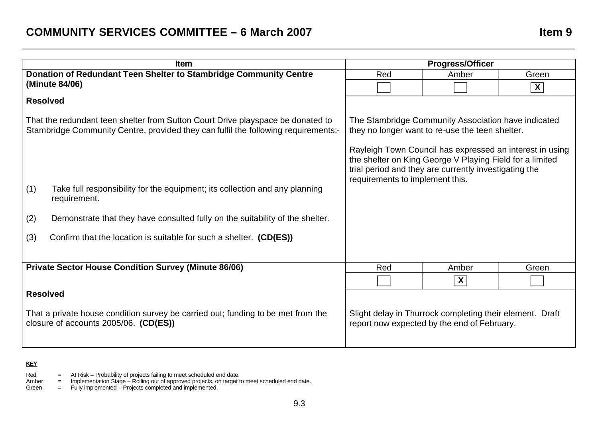# **COMMUNITY SERVICES COMMITTEE – 6 March 2007 Item 9**

| <b>Item</b>                                                                                 |                                                                                                                                                                                                                                                                                                                            |            |                         |
|---------------------------------------------------------------------------------------------|----------------------------------------------------------------------------------------------------------------------------------------------------------------------------------------------------------------------------------------------------------------------------------------------------------------------------|------------|-------------------------|
| Donation of Redundant Teen Shelter to Stambridge Community Centre<br>(Minute 84/06)         |                                                                                                                                                                                                                                                                                                                            | Amber      | Green                   |
|                                                                                             |                                                                                                                                                                                                                                                                                                                            |            | $\boldsymbol{X}$        |
| <b>Resolved</b>                                                                             |                                                                                                                                                                                                                                                                                                                            |            |                         |
|                                                                                             | The Stambridge Community Association have indicated<br>they no longer want to re-use the teen shelter.<br>Rayleigh Town Council has expressed an interest in using<br>the shelter on King George V Playing Field for a limited<br>trial period and they are currently investigating the<br>requirements to implement this. |            |                         |
| Take full responsibility for the equipment; its collection and any planning<br>requirement. |                                                                                                                                                                                                                                                                                                                            |            |                         |
| Demonstrate that they have consulted fully on the suitability of the shelter.               |                                                                                                                                                                                                                                                                                                                            |            |                         |
| Confirm that the location is suitable for such a shelter. (CD(ES))                          |                                                                                                                                                                                                                                                                                                                            |            |                         |
| <b>Private Sector House Condition Survey (Minute 86/06)</b>                                 |                                                                                                                                                                                                                                                                                                                            | Amber      | Green                   |
|                                                                                             |                                                                                                                                                                                                                                                                                                                            | X          |                         |
|                                                                                             | Slight delay in Thurrock completing their element. Draft<br>report now expected by the end of February.                                                                                                                                                                                                                    |            |                         |
|                                                                                             | That the redundant teen shelter from Sutton Court Drive playspace be donated to<br>Stambridge Community Centre, provided they can fulfil the following requirements:-<br><b>Resolved</b><br>That a private house condition survey be carried out; funding to be met from the<br>closure of accounts 2005/06. (CD(ES))      | Red<br>Red | <b>Progress/Officer</b> |

## **KEY**

Red  $=$  At Risk – Probability of projects failing to meet scheduled end date.

Amber = Implementation Stage – Rolling out of approved projects, on target to meet scheduled end date.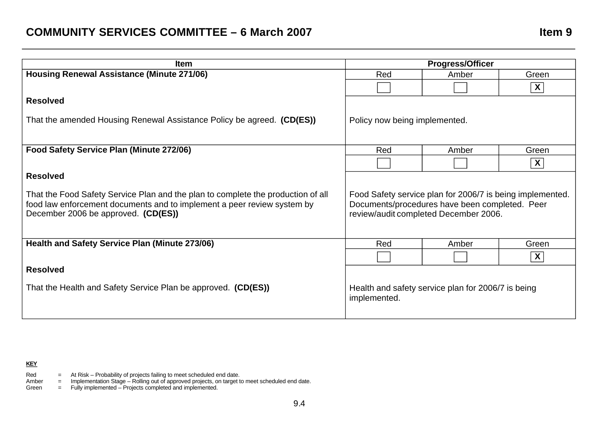| <b>Item</b>                                                                                                                                                                                        | <b>Progress/Officer</b>                                                                                                                              |       |                           |
|----------------------------------------------------------------------------------------------------------------------------------------------------------------------------------------------------|------------------------------------------------------------------------------------------------------------------------------------------------------|-------|---------------------------|
| Housing Renewal Assistance (Minute 271/06)                                                                                                                                                         | Red                                                                                                                                                  | Amber | Green                     |
|                                                                                                                                                                                                    |                                                                                                                                                      |       | $\boldsymbol{X}$          |
| <b>Resolved</b>                                                                                                                                                                                    |                                                                                                                                                      |       |                           |
| That the amended Housing Renewal Assistance Policy be agreed. (CD(ES))                                                                                                                             | Policy now being implemented.                                                                                                                        |       |                           |
| Food Safety Service Plan (Minute 272/06)                                                                                                                                                           | Red                                                                                                                                                  | Amber | Green                     |
|                                                                                                                                                                                                    |                                                                                                                                                      |       | $\boldsymbol{X}$          |
| <b>Resolved</b>                                                                                                                                                                                    |                                                                                                                                                      |       |                           |
| That the Food Safety Service Plan and the plan to complete the production of all<br>food law enforcement documents and to implement a peer review system by<br>December 2006 be approved. (CD(ES)) | Food Safety service plan for 2006/7 is being implemented.<br>Documents/procedures have been completed. Peer<br>review/audit completed December 2006. |       |                           |
| Health and Safety Service Plan (Minute 273/06)                                                                                                                                                     | Red                                                                                                                                                  | Amber | Green                     |
|                                                                                                                                                                                                    |                                                                                                                                                      |       | $\boldsymbol{\mathsf{X}}$ |
| <b>Resolved</b>                                                                                                                                                                                    |                                                                                                                                                      |       |                           |
| That the Health and Safety Service Plan be approved. (CD(ES))                                                                                                                                      | Health and safety service plan for 2006/7 is being<br>implemented.                                                                                   |       |                           |

## **KEY**

- Red  $=$  At Risk Probability of projects failing to meet scheduled end date.
- Amber = Implementation Stage Rolling out of approved projects, on target to meet scheduled end date.